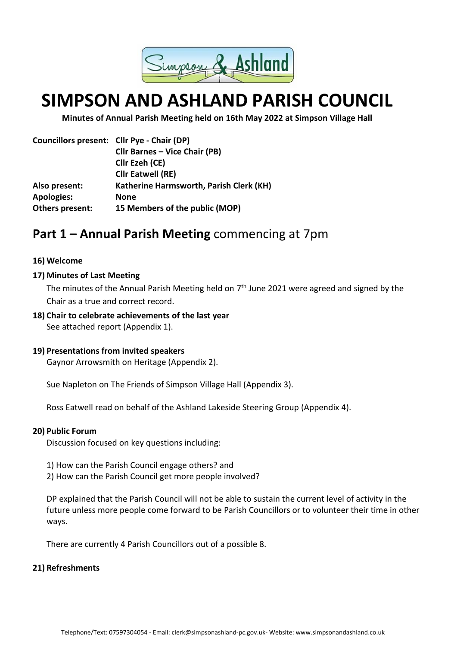

# **SIMPSON AND ASHLAND PARISH COUNCIL**

**Minutes of Annual Parish Meeting held on 16th May 2022 at Simpson Village Hall**

|                   | Councillors present: Cllr Pye - Chair (DP) |
|-------------------|--------------------------------------------|
|                   | <b>Cllr Barnes - Vice Chair (PB)</b>       |
|                   | Cllr Ezeh (CE)                             |
|                   | <b>Cllr Eatwell (RE)</b>                   |
| Also present:     | Katherine Harmsworth, Parish Clerk (KH)    |
| <b>Apologies:</b> | <b>None</b>                                |
| Others present:   | 15 Members of the public (MOP)             |

# **Part 1 – Annual Parish Meeting** commencing at 7pm

#### **16) Welcome**

#### **17) Minutes of Last Meeting**

The minutes of the Annual Parish Meeting held on 7<sup>th</sup> June 2021 were agreed and signed by the Chair as a true and correct record.

**18) Chair to celebrate achievements of the last year** See attached report (Appendix 1).

#### **19) Presentations from invited speakers**

Gaynor Arrowsmith on Heritage (Appendix 2).

Sue Napleton on The Friends of Simpson Village Hall (Appendix 3).

Ross Eatwell read on behalf of the Ashland Lakeside Steering Group (Appendix 4).

#### **20) Public Forum**

Discussion focused on key questions including:

- 1) How can the Parish Council engage others? and
- 2) How can the Parish Council get more people involved?

DP explained that the Parish Council will not be able to sustain the current level of activity in the future unless more people come forward to be Parish Councillors or to volunteer their time in other ways.

There are currently 4 Parish Councillors out of a possible 8.

#### **21) Refreshments**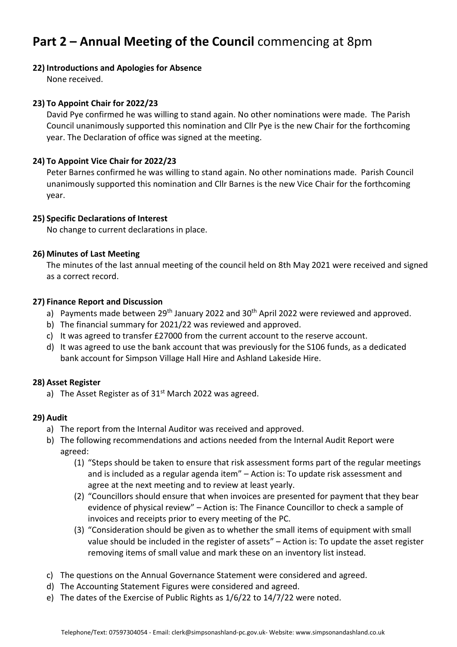# **Part 2 – Annual Meeting of the Council** commencing at 8pm

#### **22) Introductions and Apologies for Absence**

None received.

### **23) To Appoint Chair for 2022/23**

David Pye confirmed he was willing to stand again. No other nominations were made. The Parish Council unanimously supported this nomination and Cllr Pye is the new Chair for the forthcoming year. The Declaration of office was signed at the meeting.

### **24) To Appoint Vice Chair for 2022/23**

Peter Barnes confirmed he was willing to stand again. No other nominations made. Parish Council unanimously supported this nomination and Cllr Barnes is the new Vice Chair for the forthcoming year.

#### **25) Specific Declarations of Interest**

No change to current declarations in place.

#### **26) Minutes of Last Meeting**

The minutes of the last annual meeting of the council held on 8th May 2021 were received and signed as a correct record.

#### **27) Finance Report and Discussion**

- a) Payments made between  $29<sup>th</sup>$  January 2022 and  $30<sup>th</sup>$  April 2022 were reviewed and approved.
- b) The financial summary for 2021/22 was reviewed and approved.
- c) It was agreed to transfer £27000 from the current account to the reserve account.
- d) It was agreed to use the bank account that was previously for the S106 funds, as a dedicated bank account for Simpson Village Hall Hire and Ashland Lakeside Hire.

### **28) Asset Register**

a) The Asset Register as of  $31<sup>st</sup>$  March 2022 was agreed.

#### **29) Audit**

- a) The report from the Internal Auditor was received and approved.
- b) The following recommendations and actions needed from the Internal Audit Report were agreed:
	- (1) "Steps should be taken to ensure that risk assessment forms part of the regular meetings and is included as a regular agenda item" – Action is: To update risk assessment and agree at the next meeting and to review at least yearly.
	- (2) "Councillors should ensure that when invoices are presented for payment that they bear evidence of physical review" – Action is: The Finance Councillor to check a sample of invoices and receipts prior to every meeting of the PC.
	- (3) "Consideration should be given as to whether the small items of equipment with small value should be included in the register of assets" – Action is: To update the asset register removing items of small value and mark these on an inventory list instead.
- c) The questions on the Annual Governance Statement were considered and agreed.
- d) The Accounting Statement Figures were considered and agreed.
- e) The dates of the Exercise of Public Rights as 1/6/22 to 14/7/22 were noted.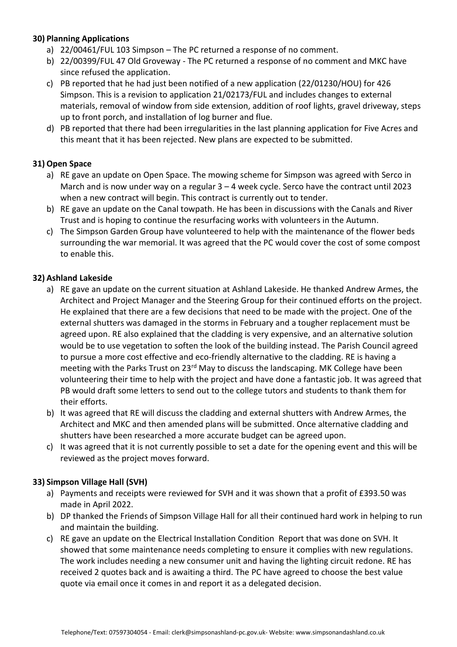### **30) Planning Applications**

- a) 22/00461/FUL 103 Simpson The PC returned a response of no comment.
- b) 22/00399/FUL 47 Old Groveway The PC returned a response of no comment and MKC have since refused the application.
- c) PB reported that he had just been notified of a new application (22/01230/HOU) for 426 Simpson. This is a revision to application 21/02173/FUL and includes changes to external materials, removal of window from side extension, addition of roof lights, gravel driveway, steps up to front porch, and installation of log burner and flue.
- d) PB reported that there had been irregularities in the last planning application for Five Acres and this meant that it has been rejected. New plans are expected to be submitted.

#### **31) Open Space**

- a) RE gave an update on Open Space. The mowing scheme for Simpson was agreed with Serco in March and is now under way on a regular  $3 - 4$  week cycle. Serco have the contract until 2023 when a new contract will begin. This contract is currently out to tender.
- b) RE gave an update on the Canal towpath. He has been in discussions with the Canals and River Trust and is hoping to continue the resurfacing works with volunteers in the Autumn.
- c) The Simpson Garden Group have volunteered to help with the maintenance of the flower beds surrounding the war memorial. It was agreed that the PC would cover the cost of some compost to enable this.

#### **32) Ashland Lakeside**

- a) RE gave an update on the current situation at Ashland Lakeside. He thanked Andrew Armes, the Architect and Project Manager and the Steering Group for their continued efforts on the project. He explained that there are a few decisions that need to be made with the project. One of the external shutters was damaged in the storms in February and a tougher replacement must be agreed upon. RE also explained that the cladding is very expensive, and an alternative solution would be to use vegetation to soften the look of the building instead. The Parish Council agreed to pursue a more cost effective and eco-friendly alternative to the cladding. RE is having a meeting with the Parks Trust on 23<sup>rd</sup> May to discuss the landscaping. MK College have been volunteering their time to help with the project and have done a fantastic job. It was agreed that PB would draft some letters to send out to the college tutors and students to thank them for their efforts.
- b) It was agreed that RE will discuss the cladding and external shutters with Andrew Armes, the Architect and MKC and then amended plans will be submitted. Once alternative cladding and shutters have been researched a more accurate budget can be agreed upon.
- c) It was agreed that it is not currently possible to set a date for the opening event and this will be reviewed as the project moves forward.

### **33) Simpson Village Hall (SVH)**

- a) Payments and receipts were reviewed for SVH and it was shown that a profit of £393.50 was made in April 2022.
- b) DP thanked the Friends of Simpson Village Hall for all their continued hard work in helping to run and maintain the building.
- c) RE gave an update on the Electrical Installation Condition Report that was done on SVH. It showed that some maintenance needs completing to ensure it complies with new regulations. The work includes needing a new consumer unit and having the lighting circuit redone. RE has received 2 quotes back and is awaiting a third. The PC have agreed to choose the best value quote via email once it comes in and report it as a delegated decision.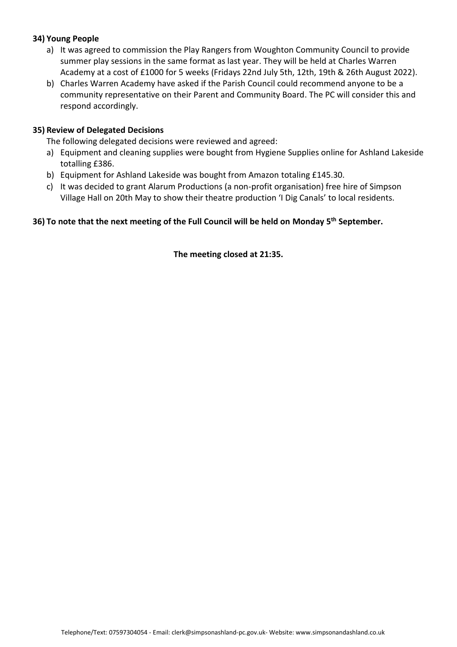#### **34) Young People**

- a) It was agreed to commission the Play Rangers from Woughton Community Council to provide summer play sessions in the same format as last year. They will be held at Charles Warren Academy at a cost of £1000 for 5 weeks (Fridays 22nd July 5th, 12th, 19th & 26th August 2022).
- b) Charles Warren Academy have asked if the Parish Council could recommend anyone to be a community representative on their Parent and Community Board. The PC will consider this and respond accordingly.

#### **35) Review of Delegated Decisions**

The following delegated decisions were reviewed and agreed:

- a) Equipment and cleaning supplies were bought from Hygiene Supplies online for Ashland Lakeside totalling £386.
- b) Equipment for Ashland Lakeside was bought from Amazon totaling £145.30.
- c) It was decided to grant Alarum Productions (a non-profit organisation) free hire of Simpson Village Hall on 20th May to show their theatre production 'I Dig Canals' to local residents.

## **36) To note that the next meeting of the Full Council will be held on Monday 5th September.**

**The meeting closed at 21:35.**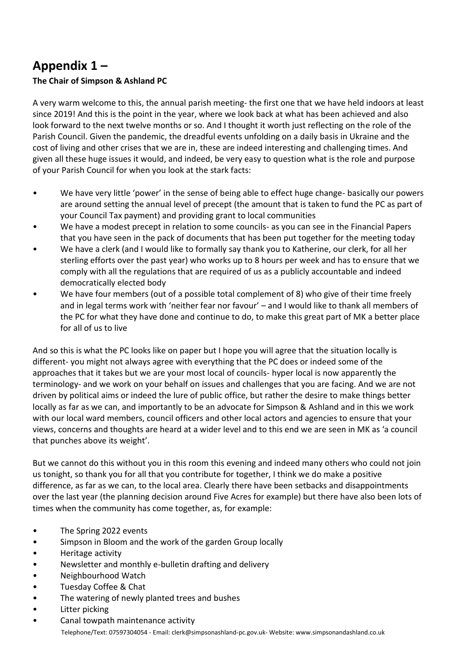# **Appendix 1 –**

## **The Chair of Simpson & Ashland PC**

A very warm welcome to this, the annual parish meeting- the first one that we have held indoors at least since 2019! And this is the point in the year, where we look back at what has been achieved and also look forward to the next twelve months or so. And I thought it worth just reflecting on the role of the Parish Council. Given the pandemic, the dreadful events unfolding on a daily basis in Ukraine and the cost of living and other crises that we are in, these are indeed interesting and challenging times. And given all these huge issues it would, and indeed, be very easy to question what is the role and purpose of your Parish Council for when you look at the stark facts:

- We have very little 'power' in the sense of being able to effect huge change- basically our powers are around setting the annual level of precept (the amount that is taken to fund the PC as part of your Council Tax payment) and providing grant to local communities
- We have a modest precept in relation to some councils- as you can see in the Financial Papers that you have seen in the pack of documents that has been put together for the meeting today
- We have a clerk (and I would like to formally say thank you to Katherine, our clerk, for all her sterling efforts over the past year) who works up to 8 hours per week and has to ensure that we comply with all the regulations that are required of us as a publicly accountable and indeed democratically elected body
- We have four members (out of a possible total complement of 8) who give of their time freely and in legal terms work with 'neither fear nor favour' – and I would like to thank all members of the PC for what they have done and continue to do, to make this great part of MK a better place for all of us to live

And so this is what the PC looks like on paper but I hope you will agree that the situation locally is different- you might not always agree with everything that the PC does or indeed some of the approaches that it takes but we are your most local of councils- hyper local is now apparently the terminology- and we work on your behalf on issues and challenges that you are facing. And we are not driven by political aims or indeed the lure of public office, but rather the desire to make things better locally as far as we can, and importantly to be an advocate for Simpson & Ashland and in this we work with our local ward members, council officers and other local actors and agencies to ensure that your views, concerns and thoughts are heard at a wider level and to this end we are seen in MK as 'a council that punches above its weight'.

But we cannot do this without you in this room this evening and indeed many others who could not join us tonight, so thank you for all that you contribute for together, I think we do make a positive difference, as far as we can, to the local area. Clearly there have been setbacks and disappointments over the last year (the planning decision around Five Acres for example) but there have also been lots of times when the community has come together, as, for example:

- The Spring 2022 events
- Simpson in Bloom and the work of the garden Group locally
- Heritage activity
- Newsletter and monthly e-bulletin drafting and delivery
- Neighbourhood Watch
- Tuesday Coffee & Chat
- The watering of newly planted trees and bushes
- Litter picking
- Telephone/Text: 07597304054 Email: clerk@simpsonashland-pc.gov.uk- Website: www.simpsonandashland.co.uk • Canal towpath maintenance activity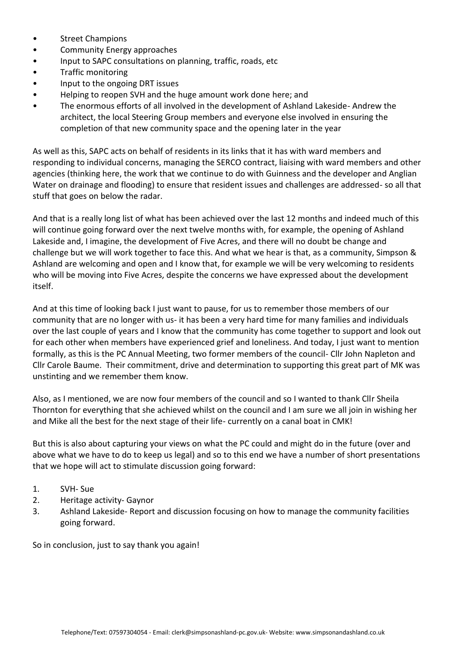- Street Champions
- Community Energy approaches
- Input to SAPC consultations on planning, traffic, roads, etc
- Traffic monitoring
- Input to the ongoing DRT issues
- Helping to reopen SVH and the huge amount work done here; and
- The enormous efforts of all involved in the development of Ashland Lakeside- Andrew the architect, the local Steering Group members and everyone else involved in ensuring the completion of that new community space and the opening later in the year

As well as this, SAPC acts on behalf of residents in its links that it has with ward members and responding to individual concerns, managing the SERCO contract, liaising with ward members and other agencies (thinking here, the work that we continue to do with Guinness and the developer and Anglian Water on drainage and flooding) to ensure that resident issues and challenges are addressed- so all that stuff that goes on below the radar.

And that is a really long list of what has been achieved over the last 12 months and indeed much of this will continue going forward over the next twelve months with, for example, the opening of Ashland Lakeside and, I imagine, the development of Five Acres, and there will no doubt be change and challenge but we will work together to face this. And what we hear is that, as a community, Simpson & Ashland are welcoming and open and I know that, for example we will be very welcoming to residents who will be moving into Five Acres, despite the concerns we have expressed about the development itself.

And at this time of looking back I just want to pause, for us to remember those members of our community that are no longer with us- it has been a very hard time for many families and individuals over the last couple of years and I know that the community has come together to support and look out for each other when members have experienced grief and loneliness. And today, I just want to mention formally, as this is the PC Annual Meeting, two former members of the council- Cllr John Napleton and Cllr Carole Baume. Their commitment, drive and determination to supporting this great part of MK was unstinting and we remember them know.

Also, as I mentioned, we are now four members of the council and so I wanted to thank Cllr Sheila Thornton for everything that she achieved whilst on the council and I am sure we all join in wishing her and Mike all the best for the next stage of their life- currently on a canal boat in CMK!

But this is also about capturing your views on what the PC could and might do in the future (over and above what we have to do to keep us legal) and so to this end we have a number of short presentations that we hope will act to stimulate discussion going forward:

- 1. SVH- Sue
- 2. Heritage activity- Gaynor
- 3. Ashland Lakeside- Report and discussion focusing on how to manage the community facilities going forward.

So in conclusion, just to say thank you again!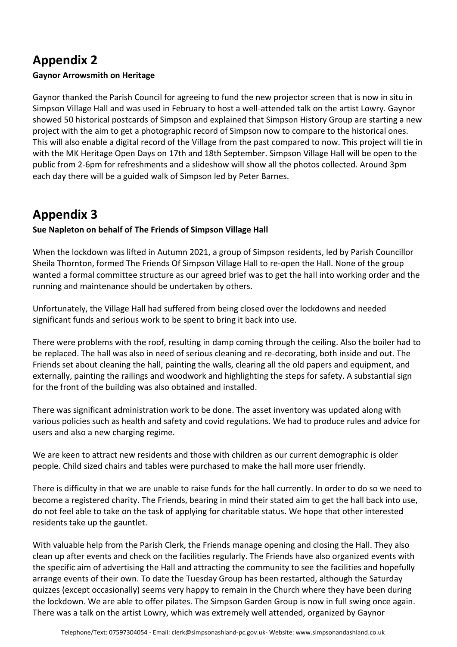# **Appendix 2**

## **Gaynor Arrowsmith on Heritage**

Gaynor thanked the Parish Council for agreeing to fund the new projector screen that is now in situ in Simpson Village Hall and was used in February to host a well-attended talk on the artist Lowry. Gaynor showed 50 historical postcards of Simpson and explained that Simpson History Group are starting a new project with the aim to get a photographic record of Simpson now to compare to the historical ones. This will also enable a digital record of the Village from the past compared to now. This project will tie in with the MK Heritage Open Days on 17th and 18th September. Simpson Village Hall will be open to the public from 2-6pm for refreshments and a slideshow will show all the photos collected. Around 3pm each day there will be a guided walk of Simpson led by Peter Barnes.

# **Appendix 3**

**Sue Napleton on behalf of The Friends of Simpson Village Hall**

When the lockdown was lifted in Autumn 2021, a group of Simpson residents, led by Parish Councillor Sheila Thornton, formed The Friends Of Simpson Village Hall to re-open the Hall. None of the group wanted a formal committee structure as our agreed brief was to get the hall into working order and the running and maintenance should be undertaken by others.

Unfortunately, the Village Hall had suffered from being closed over the lockdowns and needed significant funds and serious work to be spent to bring it back into use.

There were problems with the roof, resulting in damp coming through the ceiling. Also the boiler had to be replaced. The hall was also in need of serious cleaning and re-decorating, both inside and out. The Friends set about cleaning the hall, painting the walls, clearing all the old papers and equipment, and externally, painting the railings and woodwork and highlighting the steps for safety. A substantial sign for the front of the building was also obtained and installed.

There was significant administration work to be done. The asset inventory was updated along with various policies such as health and safety and covid regulations. We had to produce rules and advice for users and also a new charging regime.

We are keen to attract new residents and those with children as our current demographic is older people. Child sized chairs and tables were purchased to make the hall more user friendly.

There is difficulty in that we are unable to raise funds for the hall currently. In order to do so we need to become a registered charity. The Friends, bearing in mind their stated aim to get the hall back into use, do not feel able to take on the task of applying for charitable status. We hope that other interested residents take up the gauntlet.

With valuable help from the Parish Clerk, the Friends manage opening and closing the Hall. They also clean up after events and check on the facilities regularly. The Friends have also organized events with the specific aim of advertising the Hall and attracting the community to see the facilities and hopefully arrange events of their own. To date the Tuesday Group has been restarted, although the Saturday quizzes (except occasionally) seems very happy to remain in the Church where they have been during the lockdown. We are able to offer pilates. The Simpson Garden Group is now in full swing once again. There was a talk on the artist Lowry, which was extremely well attended, organized by Gaynor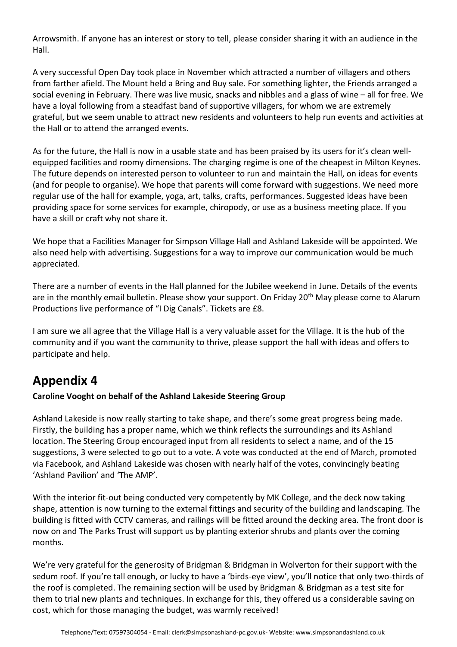Arrowsmith. If anyone has an interest or story to tell, please consider sharing it with an audience in the Hall.

A very successful Open Day took place in November which attracted a number of villagers and others from farther afield. The Mount held a Bring and Buy sale. For something lighter, the Friends arranged a social evening in February. There was live music, snacks and nibbles and a glass of wine – all for free. We have a loyal following from a steadfast band of supportive villagers, for whom we are extremely grateful, but we seem unable to attract new residents and volunteers to help run events and activities at the Hall or to attend the arranged events.

As for the future, the Hall is now in a usable state and has been praised by its users for it's clean wellequipped facilities and roomy dimensions. The charging regime is one of the cheapest in Milton Keynes. The future depends on interested person to volunteer to run and maintain the Hall, on ideas for events (and for people to organise). We hope that parents will come forward with suggestions. We need more regular use of the hall for example, yoga, art, talks, crafts, performances. Suggested ideas have been providing space for some services for example, chiropody, or use as a business meeting place. If you have a skill or craft why not share it.

We hope that a Facilities Manager for Simpson Village Hall and Ashland Lakeside will be appointed. We also need help with advertising. Suggestions for a way to improve our communication would be much appreciated.

There are a number of events in the Hall planned for the Jubilee weekend in June. Details of the events are in the monthly email bulletin. Please show your support. On Friday 20<sup>th</sup> May please come to Alarum Productions live performance of "I Dig Canals". Tickets are £8.

I am sure we all agree that the Village Hall is a very valuable asset for the Village. It is the hub of the community and if you want the community to thrive, please support the hall with ideas and offers to participate and help.

# **Appendix 4**

# **Caroline Vooght on behalf of the Ashland Lakeside Steering Group**

Ashland Lakeside is now really starting to take shape, and there's some great progress being made. Firstly, the building has a proper name, which we think reflects the surroundings and its Ashland location. The Steering Group encouraged input from all residents to select a name, and of the 15 suggestions, 3 were selected to go out to a vote. A vote was conducted at the end of March, promoted via Facebook, and Ashland Lakeside was chosen with nearly half of the votes, convincingly beating 'Ashland Pavilion' and 'The AMP'.

With the interior fit-out being conducted very competently by MK College, and the deck now taking shape, attention is now turning to the external fittings and security of the building and landscaping. The building is fitted with CCTV cameras, and railings will be fitted around the decking area. The front door is now on and The Parks Trust will support us by planting exterior shrubs and plants over the coming months.

We're very grateful for the generosity of Bridgman & Bridgman in Wolverton for their support with the sedum roof. If you're tall enough, or lucky to have a 'birds-eye view', you'll notice that only two-thirds of the roof is completed. The remaining section will be used by Bridgman & Bridgman as a test site for them to trial new plants and techniques. In exchange for this, they offered us a considerable saving on cost, which for those managing the budget, was warmly received!